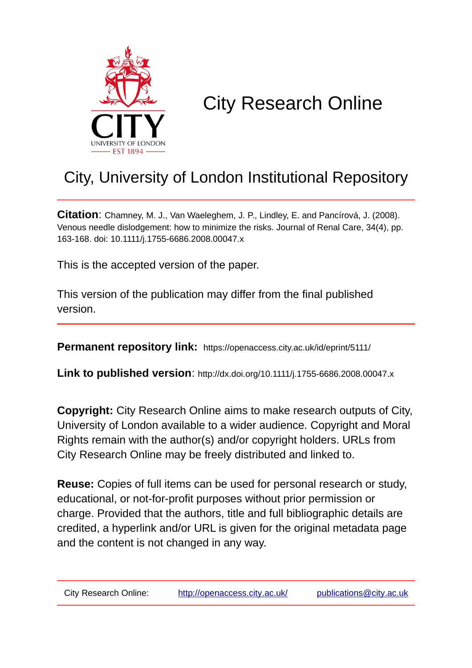

# City Research Online

## City, University of London Institutional Repository

**Citation**: Chamney, M. J., Van Waeleghem, J. P., Lindley, E. and Pancírová, J. (2008). Venous needle dislodgement: how to minimize the risks. Journal of Renal Care, 34(4), pp. 163-168. doi: 10.1111/j.1755-6686.2008.00047.x

This is the accepted version of the paper.

This version of the publication may differ from the final published version.

**Permanent repository link:** https://openaccess.city.ac.uk/id/eprint/5111/

**Link to published version**: http://dx.doi.org/10.1111/j.1755-6686.2008.00047.x

**Copyright:** City Research Online aims to make research outputs of City, University of London available to a wider audience. Copyright and Moral Rights remain with the author(s) and/or copyright holders. URLs from City Research Online may be freely distributed and linked to.

**Reuse:** Copies of full items can be used for personal research or study, educational, or not-for-profit purposes without prior permission or charge. Provided that the authors, title and full bibliographic details are credited, a hyperlink and/or URL is given for the original metadata page and the content is not changed in any way.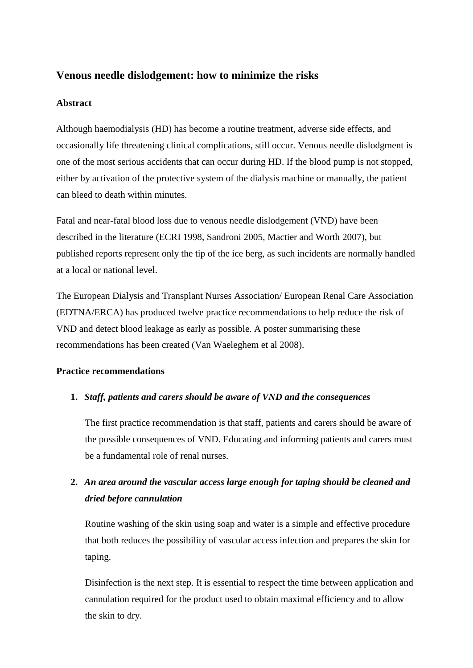#### **Venous needle dislodgement: how to minimize the risks**

#### **Abstract**

Although haemodialysis (HD) has become a routine treatment, adverse side effects, and occasionally life threatening clinical complications, still occur. Venous needle dislodgment is one of the most serious accidents that can occur during HD. If the blood pump is not stopped, either by activation of the protective system of the dialysis machine or manually, the patient can bleed to death within minutes.

Fatal and near-fatal blood loss due to venous needle dislodgement (VND) have been described in the literature (ECRI 1998, Sandroni 2005, Mactier and Worth 2007), but published reports represent only the tip of the ice berg, as such incidents are normally handled at a local or national level.

The European Dialysis and Transplant Nurses Association/ European Renal Care Association (EDTNA/ERCA) has produced twelve practice recommendations to help reduce the risk of VND and detect blood leakage as early as possible. A poster summarising these recommendations has been created (Van Waeleghem et al 2008).

#### **Practice recommendations**

#### **1.** *Staff, patients and carers should be aware of VND and the consequences*

The first practice recommendation is that staff, patients and carers should be aware of the possible consequences of VND. Educating and informing patients and carers must be a fundamental role of renal nurses.

## **2.** *An area around the vascular access large enough for taping should be cleaned and dried before cannulation*

Routine washing of the skin using soap and water is a simple and effective procedure that both reduces the possibility of vascular access infection and prepares the skin for taping.

Disinfection is the next step. It is essential to respect the time between application and cannulation required for the product used to obtain maximal efficiency and to allow the skin to dry.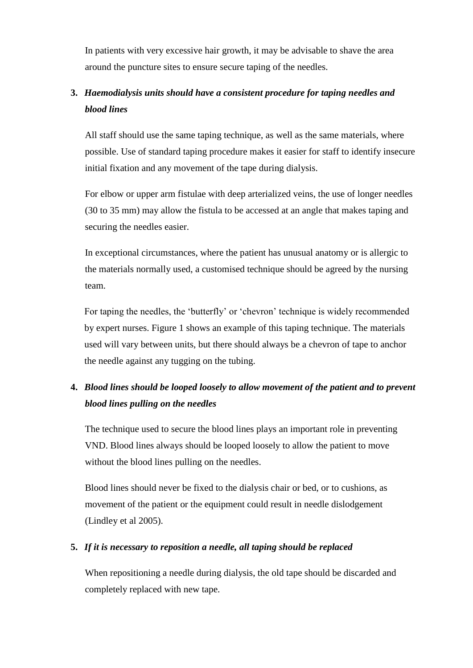In patients with very excessive hair growth, it may be advisable to shave the area around the puncture sites to ensure secure taping of the needles.

## **3.** *Haemodialysis units should have a consistent procedure for taping needles and blood lines*

All staff should use the same taping technique, as well as the same materials, where possible. Use of standard taping procedure makes it easier for staff to identify insecure initial fixation and any movement of the tape during dialysis.

For elbow or upper arm fistulae with deep arterialized veins, the use of longer needles (30 to 35 mm) may allow the fistula to be accessed at an angle that makes taping and securing the needles easier.

In exceptional circumstances, where the patient has unusual anatomy or is allergic to the materials normally used, a customised technique should be agreed by the nursing team.

For taping the needles, the 'butterfly' or 'chevron' technique is widely recommended by expert nurses. Figure 1 shows an example of this taping technique. The materials used will vary between units, but there should always be a chevron of tape to anchor the needle against any tugging on the tubing.

## **4.** *Blood lines should be looped loosely to allow movement of the patient and to prevent blood lines pulling on the needles*

The technique used to secure the blood lines plays an important role in preventing VND. Blood lines always should be looped loosely to allow the patient to move without the blood lines pulling on the needles.

Blood lines should never be fixed to the dialysis chair or bed, or to cushions, as movement of the patient or the equipment could result in needle dislodgement (Lindley et al 2005).

#### **5.** *If it is necessary to reposition a needle, all taping should be replaced*

When repositioning a needle during dialysis, the old tape should be discarded and completely replaced with new tape.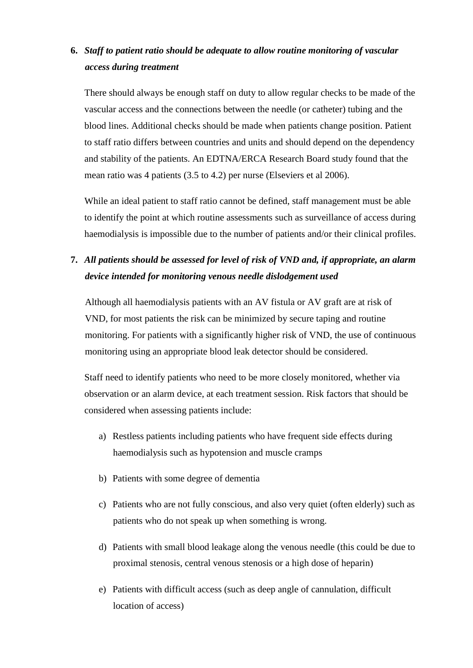## **6.** *Staff to patient ratio should be adequate to allow routine monitoring of vascular access during treatment*

There should always be enough staff on duty to allow regular checks to be made of the vascular access and the connections between the needle (or catheter) tubing and the blood lines. Additional checks should be made when patients change position. Patient to staff ratio differs between countries and units and should depend on the dependency and stability of the patients. An EDTNA/ERCA Research Board study found that the mean ratio was 4 patients (3.5 to 4.2) per nurse (Elseviers et al 2006).

While an ideal patient to staff ratio cannot be defined, staff management must be able to identify the point at which routine assessments such as surveillance of access during haemodialysis is impossible due to the number of patients and/or their clinical profiles.

## **7.** *All patients should be assessed for level of risk of VND and, if appropriate, an alarm device intended for monitoring venous needle dislodgement used*

Although all haemodialysis patients with an AV fistula or AV graft are at risk of VND, for most patients the risk can be minimized by secure taping and routine monitoring. For patients with a significantly higher risk of VND, the use of continuous monitoring using an appropriate blood leak detector should be considered.

Staff need to identify patients who need to be more closely monitored, whether via observation or an alarm device, at each treatment session. Risk factors that should be considered when assessing patients include:

- a) Restless patients including patients who have frequent side effects during haemodialysis such as hypotension and muscle cramps
- b) Patients with some degree of dementia
- c) Patients who are not fully conscious, and also very quiet (often elderly) such as patients who do not speak up when something is wrong.
- d) Patients with small blood leakage along the venous needle (this could be due to proximal stenosis, central venous stenosis or a high dose of heparin)
- e) Patients with difficult access (such as deep angle of cannulation, difficult location of access)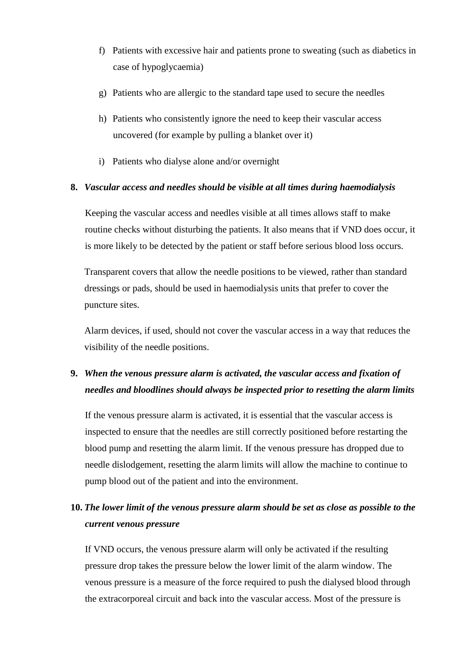- f) Patients with excessive hair and patients prone to sweating (such as diabetics in case of hypoglycaemia)
- g) Patients who are allergic to the standard tape used to secure the needles
- h) Patients who consistently ignore the need to keep their vascular access uncovered (for example by pulling a blanket over it)
- i) Patients who dialyse alone and/or overnight

#### **8.** *Vascular access and needles should be visible at all times during haemodialysis*

Keeping the vascular access and needles visible at all times allows staff to make routine checks without disturbing the patients. It also means that if VND does occur, it is more likely to be detected by the patient or staff before serious blood loss occurs.

Transparent covers that allow the needle positions to be viewed, rather than standard dressings or pads, should be used in haemodialysis units that prefer to cover the puncture sites.

Alarm devices, if used, should not cover the vascular access in a way that reduces the visibility of the needle positions.

### **9.** *When the venous pressure alarm is activated, the vascular access and fixation of needles and bloodlines should always be inspected prior to resetting the alarm limits*

If the venous pressure alarm is activated, it is essential that the vascular access is inspected to ensure that the needles are still correctly positioned before restarting the blood pump and resetting the alarm limit. If the venous pressure has dropped due to needle dislodgement, resetting the alarm limits will allow the machine to continue to pump blood out of the patient and into the environment.

## **10.** *The lower limit of the venous pressure alarm should be set as close as possible to the current venous pressure*

If VND occurs, the venous pressure alarm will only be activated if the resulting pressure drop takes the pressure below the lower limit of the alarm window. The venous pressure is a measure of the force required to push the dialysed blood through the extracorporeal circuit and back into the vascular access. Most of the pressure is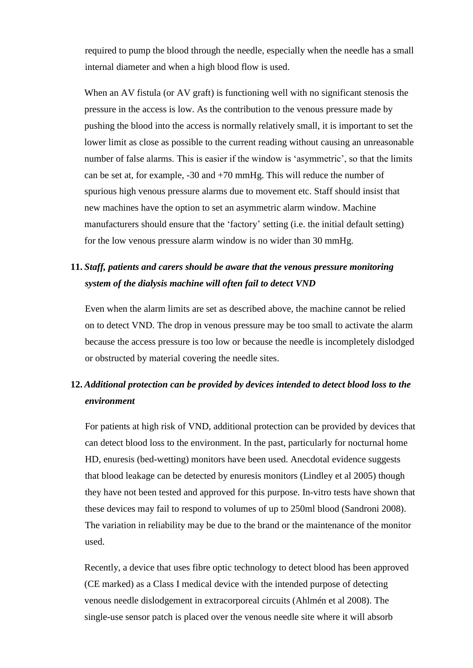required to pump the blood through the needle, especially when the needle has a small internal diameter and when a high blood flow is used.

When an AV fistula (or AV graft) is functioning well with no significant stenosis the pressure in the access is low. As the contribution to the venous pressure made by pushing the blood into the access is normally relatively small, it is important to set the lower limit as close as possible to the current reading without causing an unreasonable number of false alarms. This is easier if the window is 'asymmetric', so that the limits can be set at, for example, -30 and +70 mmHg. This will reduce the number of spurious high venous pressure alarms due to movement etc. Staff should insist that new machines have the option to set an asymmetric alarm window. Machine manufacturers should ensure that the 'factory' setting (i.e. the initial default setting) for the low venous pressure alarm window is no wider than 30 mmHg.

## **11.** *Staff, patients and carers should be aware that the venous pressure monitoring system of the dialysis machine will often fail to detect VND*

Even when the alarm limits are set as described above, the machine cannot be relied on to detect VND. The drop in venous pressure may be too small to activate the alarm because the access pressure is too low or because the needle is incompletely dislodged or obstructed by material covering the needle sites.

## **12.** *Additional protection can be provided by devices intended to detect blood loss to the environment*

For patients at high risk of VND, additional protection can be provided by devices that can detect blood loss to the environment. In the past, particularly for nocturnal home HD, enuresis (bed-wetting) monitors have been used. Anecdotal evidence suggests that blood leakage can be detected by enuresis monitors (Lindley et al 2005) though they have not been tested and approved for this purpose. In-vitro tests have shown that these devices may fail to respond to volumes of up to 250ml blood (Sandroni 2008). The variation in reliability may be due to the brand or the maintenance of the monitor used.

Recently, a device that uses fibre optic technology to detect blood has been approved (CE marked) as a Class I medical device with the intended purpose of detecting venous needle dislodgement in extracorporeal circuits (Ahlmén et al 2008). The single-use sensor patch is placed over the venous needle site where it will absorb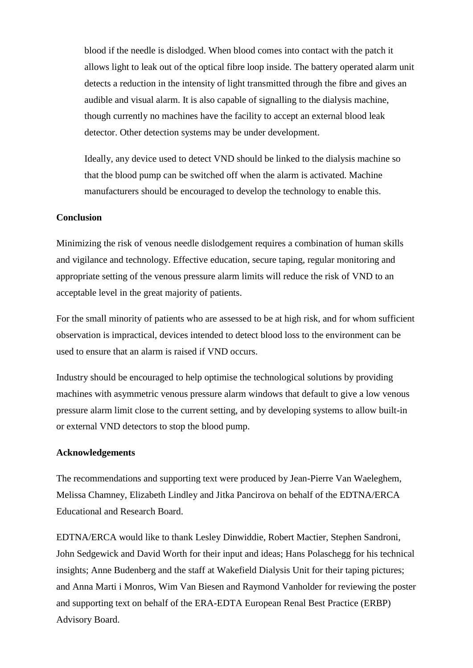blood if the needle is dislodged. When blood comes into contact with the patch it allows light to leak out of the optical fibre loop inside. The battery operated alarm unit detects a reduction in the intensity of light transmitted through the fibre and gives an audible and visual alarm. It is also capable of signalling to the dialysis machine, though currently no machines have the facility to accept an external blood leak detector. Other detection systems may be under development.

Ideally, any device used to detect VND should be linked to the dialysis machine so that the blood pump can be switched off when the alarm is activated. Machine manufacturers should be encouraged to develop the technology to enable this.

#### **Conclusion**

Minimizing the risk of venous needle dislodgement requires a combination of human skills and vigilance and technology. Effective education, secure taping, regular monitoring and appropriate setting of the venous pressure alarm limits will reduce the risk of VND to an acceptable level in the great majority of patients.

For the small minority of patients who are assessed to be at high risk, and for whom sufficient observation is impractical, devices intended to detect blood loss to the environment can be used to ensure that an alarm is raised if VND occurs.

Industry should be encouraged to help optimise the technological solutions by providing machines with asymmetric venous pressure alarm windows that default to give a low venous pressure alarm limit close to the current setting, and by developing systems to allow built-in or external VND detectors to stop the blood pump.

#### **Acknowledgements**

The recommendations and supporting text were produced by Jean-Pierre Van Waeleghem, Melissa Chamney, Elizabeth Lindley and Jitka Pancirova on behalf of the EDTNA/ERCA Educational and Research Board.

EDTNA/ERCA would like to thank Lesley Dinwiddie, Robert Mactier, Stephen Sandroni, John Sedgewick and David Worth for their input and ideas; Hans Polaschegg for his technical insights; Anne Budenberg and the staff at Wakefield Dialysis Unit for their taping pictures; and Anna Marti i Monros, Wim Van Biesen and Raymond Vanholder for reviewing the poster and supporting text on behalf of the ERA-EDTA European Renal Best Practice (ERBP) Advisory Board.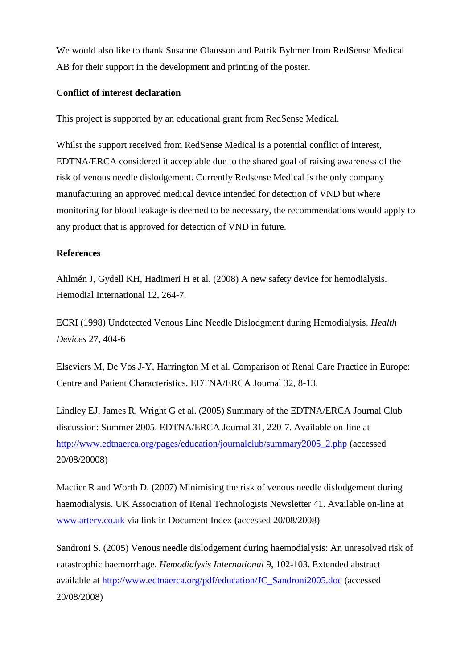We would also like to thank Susanne Olausson and Patrik Byhmer from RedSense Medical AB for their support in the development and printing of the poster.

#### **Conflict of interest declaration**

This project is supported by an educational grant from RedSense Medical.

Whilst the support received from RedSense Medical is a potential conflict of interest, EDTNA/ERCA considered it acceptable due to the shared goal of raising awareness of the risk of venous needle dislodgement. Currently Redsense Medical is the only company manufacturing an approved medical device intended for detection of VND but where monitoring for blood leakage is deemed to be necessary, the recommendations would apply to any product that is approved for detection of VND in future.

#### **References**

[Ahlmén J,](http://www.ncbi.nlm.nih.gov/sites/entrez?Db=pubmed&Cmd=Search&Term=%22Ahlm%C3%A9n%20J%22%5BAuthor%5D&itool=EntrezSystem2.PEntrez.Pubmed.Pubmed_ResultsPanel.Pubmed_DiscoveryPanel.Pubmed_RVAbstractPlus) [Gydell KH,](http://www.ncbi.nlm.nih.gov/sites/entrez?Db=pubmed&Cmd=Search&Term=%22Gydell%20KH%22%5BAuthor%5D&itool=EntrezSystem2.PEntrez.Pubmed.Pubmed_ResultsPanel.Pubmed_DiscoveryPanel.Pubmed_RVAbstractPlus) [Hadimeri H](http://www.ncbi.nlm.nih.gov/sites/entrez?Db=pubmed&Cmd=Search&Term=%22Hadimeri%20H%22%5BAuthor%5D&itool=EntrezSystem2.PEntrez.Pubmed.Pubmed_ResultsPanel.Pubmed_DiscoveryPanel.Pubmed_RVAbstractPlus) et al. (2008) A new safety device for hemodialysis. [Hemodial International 1](javascript:AL_get(this,%20)2, 264-7.

ECRI (1998) Undetected Venous Line Needle Dislodgment during Hemodialysis. *Health Devices* 27, 404-6

Elseviers M, De Vos J-Y, Harrington M et al. Comparison of Renal Care Practice in Europe: Centre and Patient Characteristics. EDTNA/ERCA Journal 32, 8-13.

Lindley EJ, James R, Wright G et al. (2005) Summary of the EDTNA/ERCA Journal Club discussion: Summer 2005. EDTNA/ERCA Journal 31, 220-7. Available on-line at [http://www.edtnaerca.org/pages/education/journalclub/summary2005\\_2.php](http://www.edtnaerca.org/pages/education/journalclub/summary2005_2.php) (accessed 20/08/20008)

Mactier R and Worth D. (2007) Minimising the risk of venous needle dislodgement during haemodialysis. UK Association of Renal Technologists Newsletter 41. Available on-line at [www.artery.co.uk](http://www.artery.co.uk/) via link in Document Index (accessed 20/08/2008)

Sandroni S. (2005) Venous needle dislodgement during haemodialysis: An unresolved risk of catastrophic haemorrhage. *Hemodialysis International* 9, 102-103. Extended abstract available at [http://www.edtnaerca.org/pdf/education/JC\\_Sandroni2005.doc](http://www.edtnaerca.org/pdf/education/JC_Sandroni2005.doc) (accessed 20/08/2008)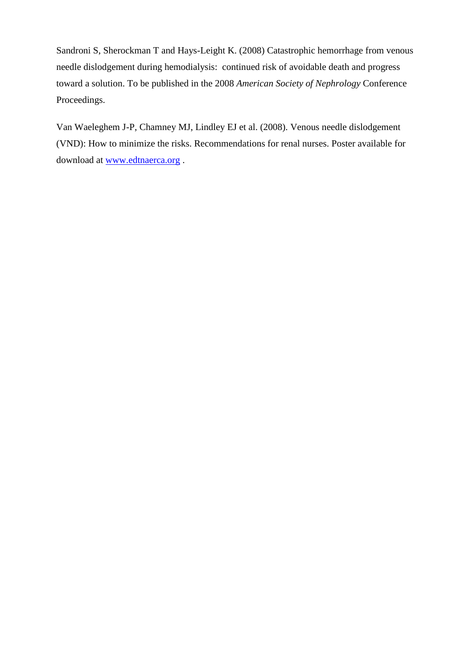Sandroni S, Sherockman T and Hays-Leight K. (2008) Catastrophic hemorrhage from venous needle dislodgement during hemodialysis: continued risk of avoidable death and progress toward a solution. To be published in the 2008 *American Society of Nephrology* Conference Proceedings.

Van Waeleghem J-P, Chamney MJ, Lindley EJ et al. (2008). Venous needle dislodgement (VND): How to minimize the risks. Recommendations for renal nurses. Poster available for download at [www.edtnaerca.org](http://www.edtnaerca.org/) .